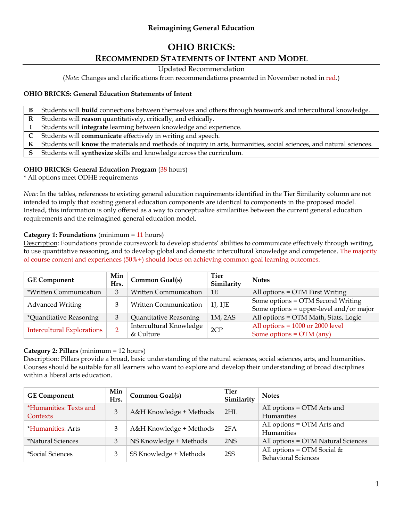## **Reimagining General Education**

# **OHIO BRICKS:**

# **RECOMMENDED STATEMENTS OF INTENT AND MODEL**

Updated Recommendation

(*Note*: Changes and clarifications from recommendations presented in November noted in red.)

#### **OHIO BRICKS: General Education Statements of Intent**

| B | Students will build connections between themselves and others through teamwork and intercultural knowledge.         |
|---|---------------------------------------------------------------------------------------------------------------------|
| R | Students will reason quantitatively, critically, and ethically.                                                     |
|   | Students will integrate learning between knowledge and experience.                                                  |
|   | Students will <b>communicate</b> effectively in writing and speech.                                                 |
| К | Students will know the materials and methods of inquiry in arts, humanities, social sciences, and natural sciences. |
|   | Students will synthesize skills and knowledge across the curriculum.                                                |

#### **OHIO BRICKS: General Education Program** (38 hours)

\* All options meet ODHE requirements

*Note*: In the tables, references to existing general education requirements identified in the Tier Similarity column are not intended to imply that existing general education components are identical to components in the proposed model. Instead, this information is only offered as a way to conceptualize similarities between the current general education requirements and the reimagined general education model.

#### **Category 1: Foundations** (minimum = 11 hours)

Description: Foundations provide coursework to develop students' abilities to communicate effectively through writing, to use quantitative reasoning, and to develop global and domestic intercultural knowledge and competence. The majority of course content and experiences (50%+) should focus on achieving common goal learning outcomes.

| <b>GE Component</b>               | Min<br>Hrs. | <b>Common Goal(s)</b>                | Tier<br>Similarity | <b>Notes</b>                                                                 |
|-----------------------------------|-------------|--------------------------------------|--------------------|------------------------------------------------------------------------------|
| *Written Communication            |             | <b>Written Communication</b>         | 1E                 | All options = OTM First Writing                                              |
| <b>Advanced Writing</b>           | 3           | Written Communication                | 1J, 1JE            | Some options = OTM Second Writing<br>Some options = upper-level and/or major |
| *Quantitative Reasoning<br>3      |             | Quantitative Reasoning               | 1M, 2AS            | All options = OTM Math, Stats, Logic                                         |
| <b>Intercultural Explorations</b> |             | Intercultural Knowledge<br>& Culture | 2CP                | All options = $1000$ or 2000 level<br>Some options = $OTM$ (any)             |

#### **Category 2: Pillars** (minimum = 12 hours)

Description: Pillars provide a broad, basic understanding of the natural sciences, social sciences, arts, and humanities. Courses should be suitable for all learners who want to explore and develop their understanding of broad disciplines within a liberal arts education.

| <b>GE Component</b>             | Min<br>Hrs. | Common Goal(s)          | <b>Tier</b><br>Similarity | <b>Notes</b>                       |
|---------------------------------|-------------|-------------------------|---------------------------|------------------------------------|
| *Humanities: Texts and          | 3           | A&H Knowledge + Methods | 2HL                       | All options = OTM Arts and         |
| Contexts                        |             |                         |                           | <b>Humanities</b>                  |
| <i><b>*Humanities: Arts</b></i> | 3           | A&H Knowledge + Methods | 2FA                       | All options = OTM Arts and         |
|                                 |             |                         |                           | <b>Humanities</b>                  |
| *Natural Sciences               | 3           | NS Knowledge + Methods  | 2NS                       | All options = OTM Natural Sciences |
| *Social Sciences                | 3           | SS Knowledge + Methods  | 2SS                       | All options = $OTM$ Social &       |
|                                 |             |                         |                           | <b>Behavioral Sciences</b>         |